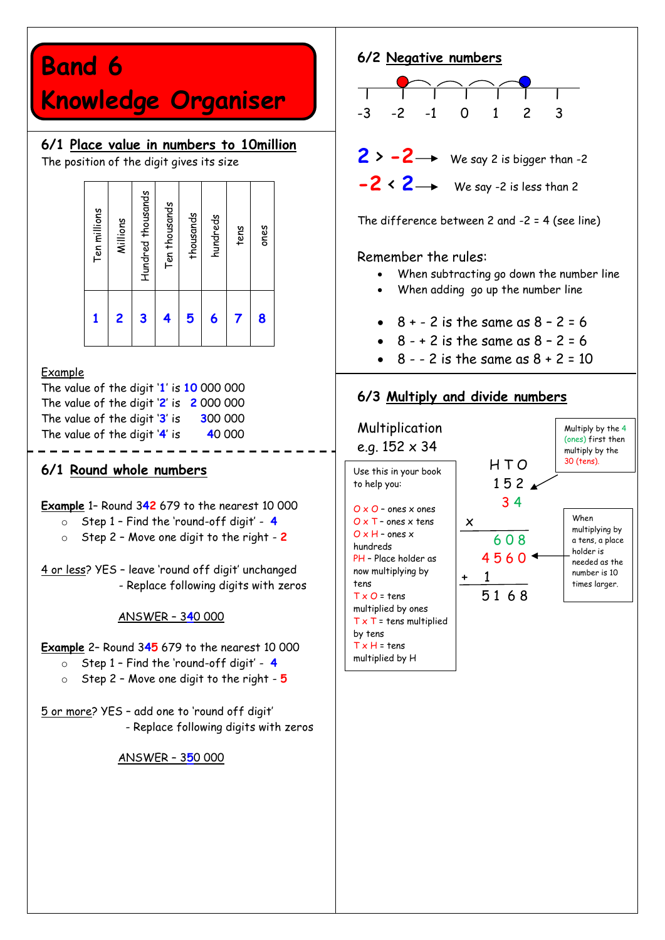# **Band 6**

# **Knowledge Organiser**

### **6/1 Place value in numbers to 10million**

The position of the digit gives its size

|      | tens | Hundred thousands<br>Ten thousands<br>Ten millions<br>thousands<br>hundreds<br>Millions | 5<br>3<br>2<br>4<br>6 |
|------|------|-----------------------------------------------------------------------------------------|-----------------------|
| ones | 8    |                                                                                         |                       |
|      |      |                                                                                         |                       |
|      |      |                                                                                         |                       |
|      |      |                                                                                         |                       |
|      |      |                                                                                         |                       |
|      |      |                                                                                         |                       |
|      |      |                                                                                         |                       |

#### Example

The value of the digit '**1**' is **10** 000 000 The value of the digit '**2**' is **2** 000 000 The value of the digit '**3**' is **3**00 000 The value of the digit '**4**' is **4**0 000

#### **6/1 Round whole numbers**

<u>. . . . . . . . . . .</u>

**Example** 1– Round 3**42** 679 to the nearest 10 000

- o Step 1 Find the 'round-off digit' **4**
- o Step 2 Move one digit to the right **2**

4 or less? YES – leave 'round off digit' unchanged - Replace following digits with zeros

#### ANSWER – 3**4**0 000

#### **Example** 2– Round 3**45** 679 to the nearest 10 000

- o Step 1 Find the 'round-off digit' **4**
- o Step 2 Move one digit to the right **5**

5 or more? YES – add one to 'round off digit' - Replace following digits with zeros

ANSWER – 3**5**0 000



Remember the rules:

- When subtracting go down the number line
- When adding go up the number line
- $8 + 2$  is the same as  $8 2 = 6$
- $8 8 2$  is the same as  $8 2 = 6$
- $8 2$  is the same as  $8 + 2 = 10$

### **6/3 Multiply and divide numbers**

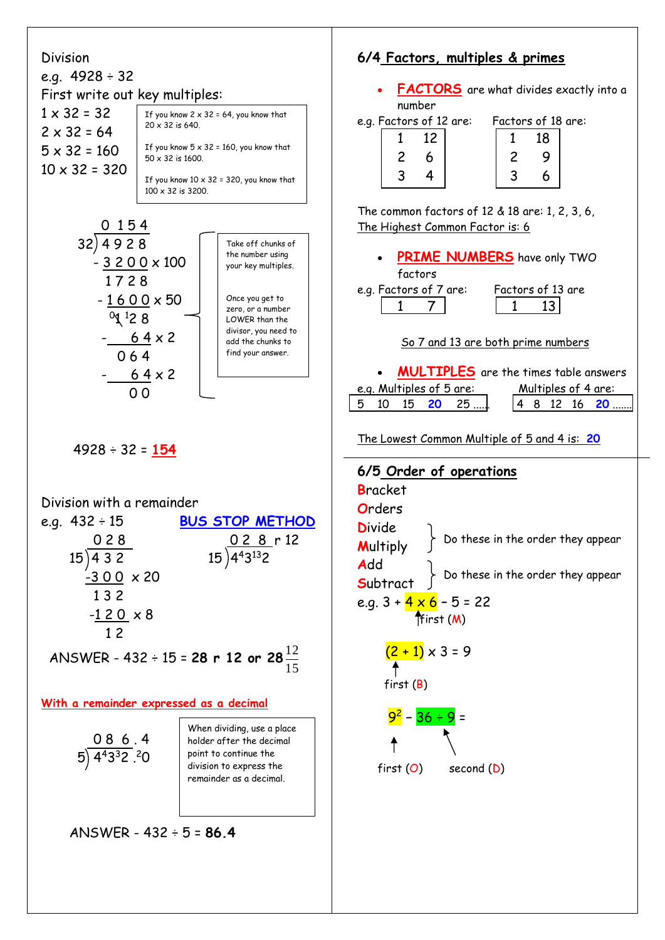#### Division

#### e.g. 4928 ÷ 32 First write out key multiples:  $1 \times 32 = 32$  $2 \times 32 = 64$  $5 \times 32 = 160$  $10 \times 32 = 320$ If you know  $2 \times 32 = 64$ , you know that 20 x 32 is 640. If you know  $5 \times 32 = 160$ , you know that  $50 \times 32$  is 1600. If you know  $10 \times 32 = 320$ , you know that

100 x 32 is 3200.



4928 ÷ 32 = **154**

#### Division with a remainder

| e.g. $432 \div 15$ | <b>BUS STOP METHOD</b>                                   |
|--------------------|----------------------------------------------------------|
| 028                |                                                          |
| 15)432             | $\frac{0 2 8}{15}$ r 12<br>15 443132                     |
| $-300 \times 20$   |                                                          |
| 132                |                                                          |
| $-120 \times 8$    |                                                          |
| 12                 |                                                          |
|                    | ANSWER - 432 ÷ 15 = <b>28 r 12 or 28</b> $\frac{12}{15}$ |

**With a remainder expressed as a decimal**

 0 8 6 . 4 5 $($  443 $3$ 2 $($   $)$   $($   $2$   $)$ 

When dividing, use a place holder after the decimal point to continue the division to express the remainder as a decimal.

ANSWER - 432 ÷ 5 = **86.4**

# **6/4 Factors, multiples & primes**

 **FACTORS** are what divides exactly into a number

e.g. Factors of 12 are: Factors of 18 are:

| $\mathbf{1}$   | 12 <sub>1</sub> |                | 18 |
|----------------|-----------------|----------------|----|
| $\overline{2}$ | 6               | $\mathfrak{p}$ | 9  |
| $\overline{3}$ | 4               |                | ĥ  |

| . | J V I<br>∼ |
|---|------------|
|   | 18         |
| 2 | 9          |
| 3 | 6          |

The common factors of 12 & 18 are: 1, 2, 3, 6, The Highest Common Factor is: 6

 **PRIME NUMBERS** have only TWO factors

e.g. Factors of 7 are: Factors of 13 are 1 7 1 13

#### So 7 and 13 are both prime numbers

 **MULTIPLES** are the times table answers e.g. Multiples of 5 are: Multiples of 4 are: 5 10 15 **20** 25 ...... 4 8 12 16 **20** .......

The Lowest Common Multiple of 5 and 4 is: **20**

# **6/5 Order of operations B**racket **O**rders **D**ivide **M**ultiply **A**dd **S**ubtract e.g.  $3 + 4 \times 6 - 5 = 22$ ffirst (M)  $(2 + 1) \times 3 = 9$  first (B) <mark>9<sup>2</sup> – 36 ÷ 9</mark> = first (O) second (D) Do these in the order they appear Do these in the order they appear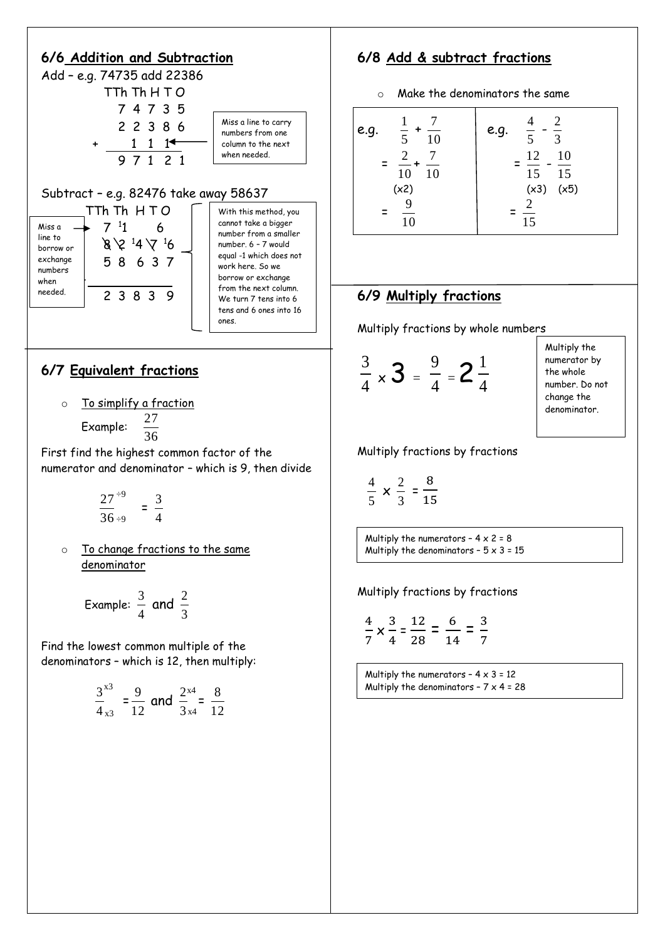

### **6/7 Equivalent fractions**

o To simplify a fraction 27

Example:  $\frac{27}{36}$ 

First find the highest common factor of the numerator and denominator – which is 9, then divide

- 36  $\frac{27}{2}$  = 4  $\frac{1}{2}$  - 3 ÷9
- o To change fractions to the same denominator

 Example: 4  $\frac{3}{4}$  and 3 2

Find the lowest common multiple of the denominators – which is 12, then multiply:

$$
rac{3}{4}^{x3}
$$
 =  $rac{9}{12}$  and  $rac{2^{x4}}{3^{x4}}$  =  $rac{8}{12}$ 

### **6/8 Add & subtract fractions**

o Make the denominators the same

$$
\begin{bmatrix}\n\textbf{e}.\textbf{g.} & \frac{1}{5} + \frac{7}{10} & \textbf{e}.\textbf{g.} & \frac{4}{5} - \frac{2}{3} \\
= \frac{2}{10} + \frac{7}{10} & = \frac{12}{15} - \frac{10}{15} \\
(x2) & (x3) & (x5) \\
= \frac{9}{10} & = \frac{2}{15}\n\end{bmatrix}
$$

#### **6/9 Multiply fractions**

Multiply fractions by whole numbers

$$
\frac{3}{4} \times 3 = \frac{9}{4} = 2\frac{1}{4}
$$

Multiply the numerator by the whole number. Do not change the denominator.

Multiply fractions by fractions

$$
\frac{4}{5} \times \frac{2}{3} = \frac{8}{15}
$$

 $\overline{\phantom{a}}$ Multiply the numerators -  $4 \times 2 = 8$ Multiply the denominators -  $5 \times 3 = 15$ 

Multiply fractions by fractions

$$
\frac{4}{7} \times \frac{3}{4} = \frac{12}{28} = \frac{6}{14} = \frac{3}{7}
$$

Multiply the numerators -  $4 \times 3 = 12$ Multiply the denominators -  $7 \times 4 = 28$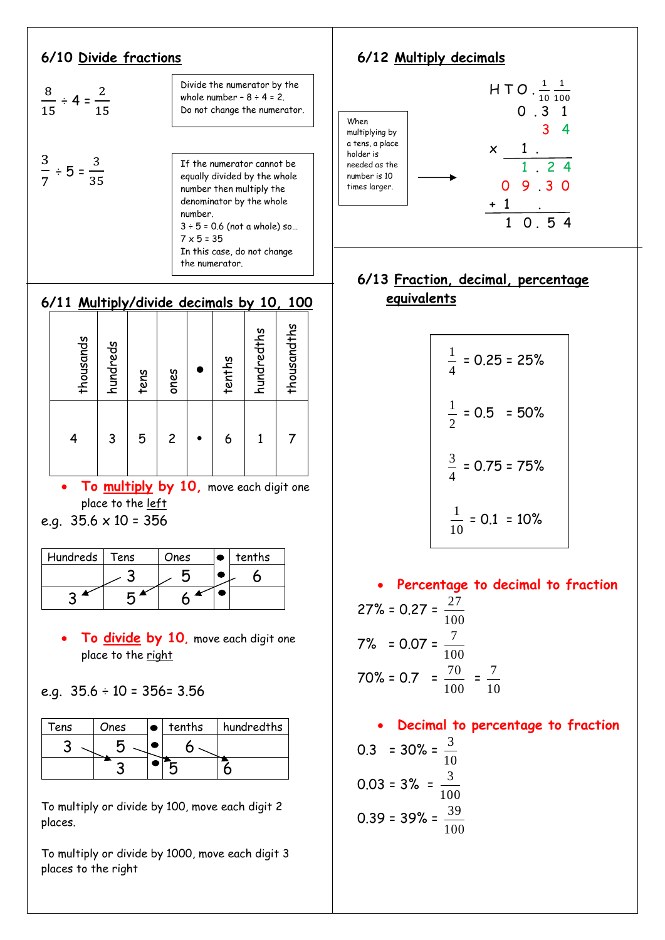#### **6/10 Divide fractions**

$$
\frac{8}{15} \div 4 = \frac{2}{15}
$$
  
\n
$$
\frac{3}{7} \div 5 = \frac{3}{35}
$$
  
\n
$$
\frac{3}{7} \div 5 = \frac{3}{35}
$$
  
\n
$$
\frac{1}{7} \div 5 = 35
$$
  
\n
$$
\frac{3}{7} \div 5 = 35
$$
  
\n
$$
\frac{3}{7} \div 5 = 35
$$
  
\n
$$
\frac{3}{7} \times 5 = 35
$$
  
\n
$$
\frac{1}{7} \times 5 = 35
$$
  
\nIn this case, do not change

#### the numerator.

#### **6/11 Multiply/divide decimals by 10, 100**

| thousands | hundreds | tens | ones           | tenths | hundredths | thousandths |
|-----------|----------|------|----------------|--------|------------|-------------|
|           | 3        | 5    | $\overline{c}$ | 6      |            |             |

 **To multiply by 10,** move each digit one place to the <u>left</u>

| e.g. $35.6 \times 10 = 356$ |  |
|-----------------------------|--|
|-----------------------------|--|

| Hundreds | Tens | Ones | tenths |
|----------|------|------|--------|
|          |      |      |        |
|          |      |      |        |

 **To divide by 10,** move each digit one place to the right

e.g. 35.6 ÷ 10 = 356= 3.56

| Tens | Ones | tenths | hundredths |
|------|------|--------|------------|
|      |      |        |            |
|      |      |        |            |

To multiply or divide by 100, move each digit 2 places.

To multiply or divide by 1000, move each digit 3 places to the right



#### **6/13 Fraction, decimal, percentage equivalents**

$$
\frac{1}{4} = 0.25 = 25\%
$$
  

$$
\frac{1}{2} = 0.5 = 50\%
$$
  

$$
\frac{3}{4} = 0.75 = 75\%
$$
  

$$
\frac{1}{10} = 0.1 = 10\%
$$

 **Percentage to decimal to fraction** 27% = 0.27 = 100 27 7% = 0.07 = 100 7 70% = 0.7 = 100  $\frac{70}{20}$  = 10 7

 **Decimal to percentage to fraction**  $0.3 = 30\% =$ 10 3  $0.03 = 3\% =$ 100 3 0.39 = 39% = 100 39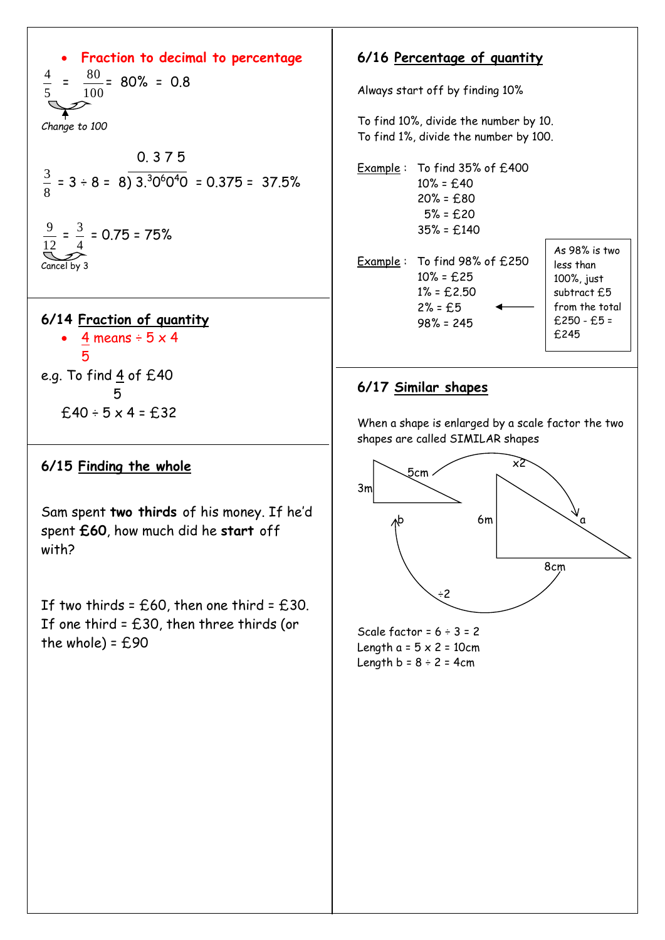# **Fraction to decimal to percentage**

5 4  $=$ 100  $\frac{80}{100}$  = 80% = 0.8 *Change to 100*

$$
\frac{3}{8} = 3 \div 8 = 8 \overline{\smash{\big)}3.306040} = 0.375 = 37.5\%
$$
\n
$$
\frac{9}{12} = \frac{3}{4} = 0.75 = 75\%
$$
\nCancel by 3

**6/14 Fraction of quantity**   $\cdot$  4 means ÷ 5 x 4 5 e.g. To find  $\frac{4}{5}$  of £40 5  $£40 ÷ 5 × 4 = £32$ 

#### **6/15 Finding the whole**

Sam spent **two thirds** of his money. If he'd spent **£60**, how much did he **start** off with?

If two thirds =  $£60$ , then one third =  $£30$ . If one third  $=$  £30, then three thirds (or the whole) =  $£90$ 

#### **6/16 Percentage of quantity**

Always start off by finding 10%

To find 10%, divide the number by 10. To find 1%, divide the number by 100.

Example : To find 35% of £400  $10\% = £40$  20% = £80 5% = £20 35% = £140

Example : To find 98% of £250 10% = £25  $1\% = £2.50$  $2% = £5$ 98% = 245

As 98% is two less than 100%, just subtract £5 from the total £250 - £5 = £245

#### **6/17 Similar shapes**

When a shape is enlarged by a scale factor the two shapes are called SIMILAR shapes



Scale factor =  $6 \div 3 = 2$ Length  $a = 5 \times 2 = 10$ cm Length  $b = 8 \div 2 = 4$ cm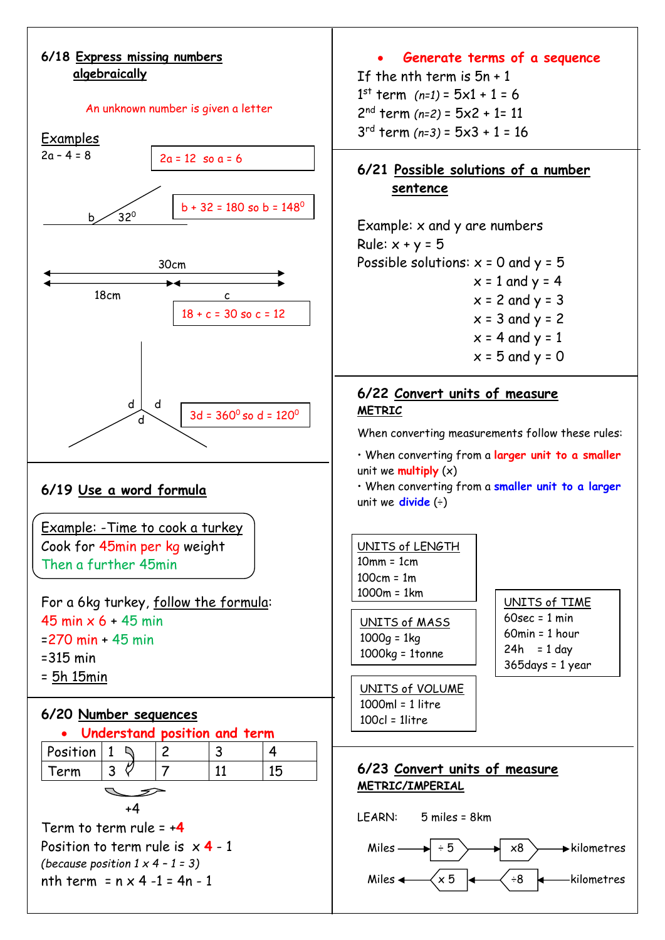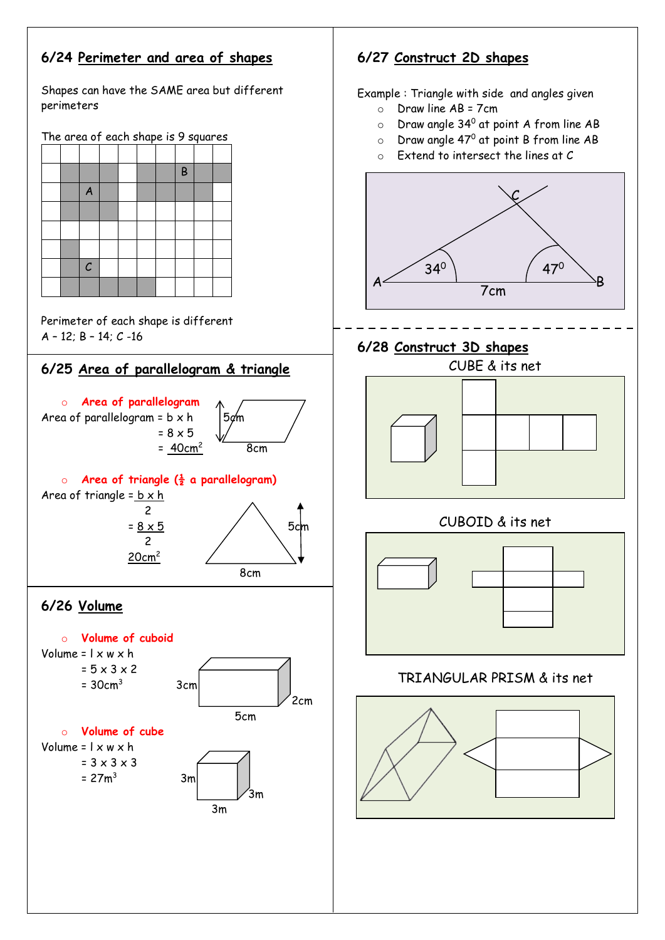# **6/24 Perimeter and area of shapes**

Shapes can have the SAME area but different perimeters

The area of each shape is 9 squares

|  |                |  |  | B |  |
|--|----------------|--|--|---|--|
|  | $\overline{A}$ |  |  |   |  |
|  |                |  |  |   |  |
|  |                |  |  |   |  |
|  |                |  |  |   |  |
|  | $\mathcal C$   |  |  |   |  |
|  |                |  |  |   |  |

Perimeter of each shape is different A – 12; B – 14; C -16





 20cm<sup>2</sup> 8cm

# **6/26 Volume**



# **6/27 Construct 2D shapes**

Example : Triangle with side and angles given

- o Draw line AB = 7cm
- $\circ$  Draw angle 34<sup>0</sup> at point A from line AB
- $\circ$  Draw angle 47<sup>0</sup> at point B from line AB
- o Extend to intersect the lines at C



# **6/28 Construct 3D shapes**



# CUBOID & its net



# TRIANGULAR PRISM & its net

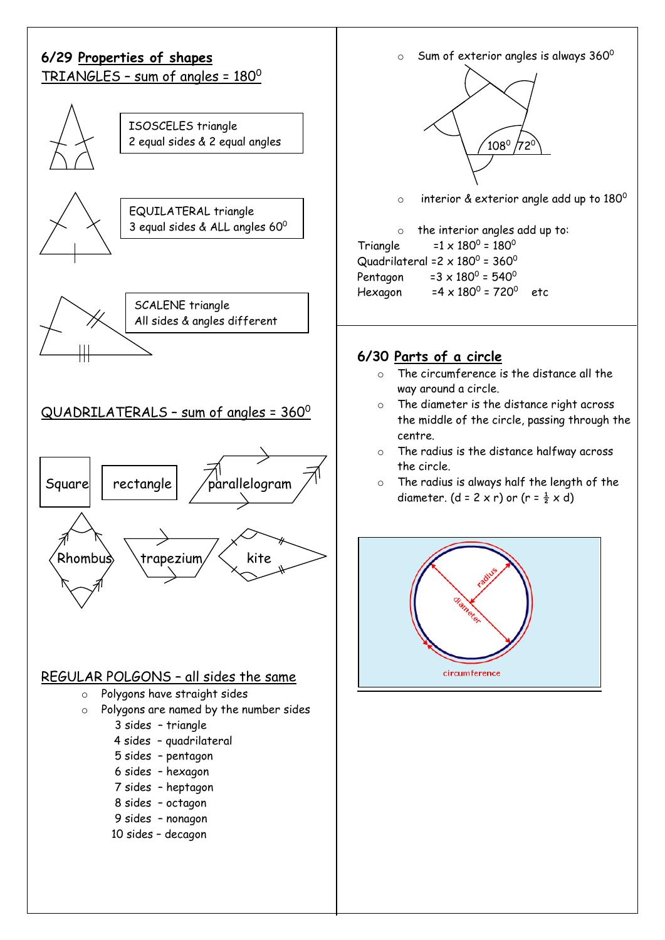

 $\circ$  Sum of exterior angles is always 360 $^{\circ}$ 



 $\circ$  interior & exterior angle add up to 180 $^{\rm o}$ 

o the interior angles add up to: Triangle =1 x 180<sup>0</sup>  $= 1 \times 180^0 = 180^0$ Quadrilateral =2  $\times$  180<sup>0</sup> = 360<sup>0</sup> Pentagon  $= 3 \times 180^0 = 540^0$ Hexagon = 720<sup>0</sup> etc

#### **6/30 Parts of a circle**

- o The circumference is the distance all the way around a circle.
- o The diameter is the distance right across the middle of the circle, passing through the centre.
- o The radius is the distance halfway across the circle.
- o The radius is always half the length of the diameter. (d = 2 x r) or (r =  $\frac{1}{2}$  x d)

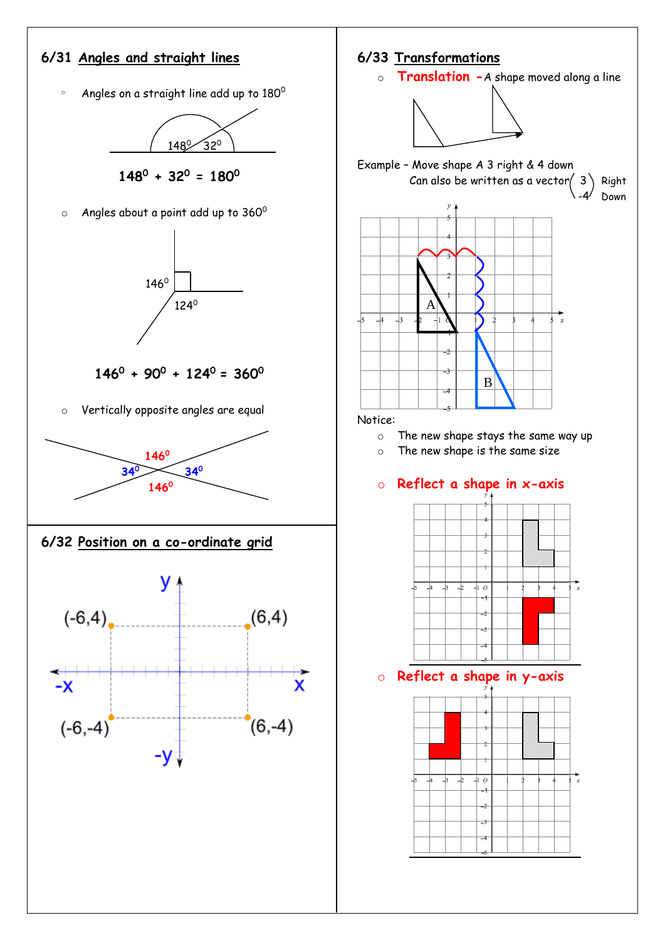